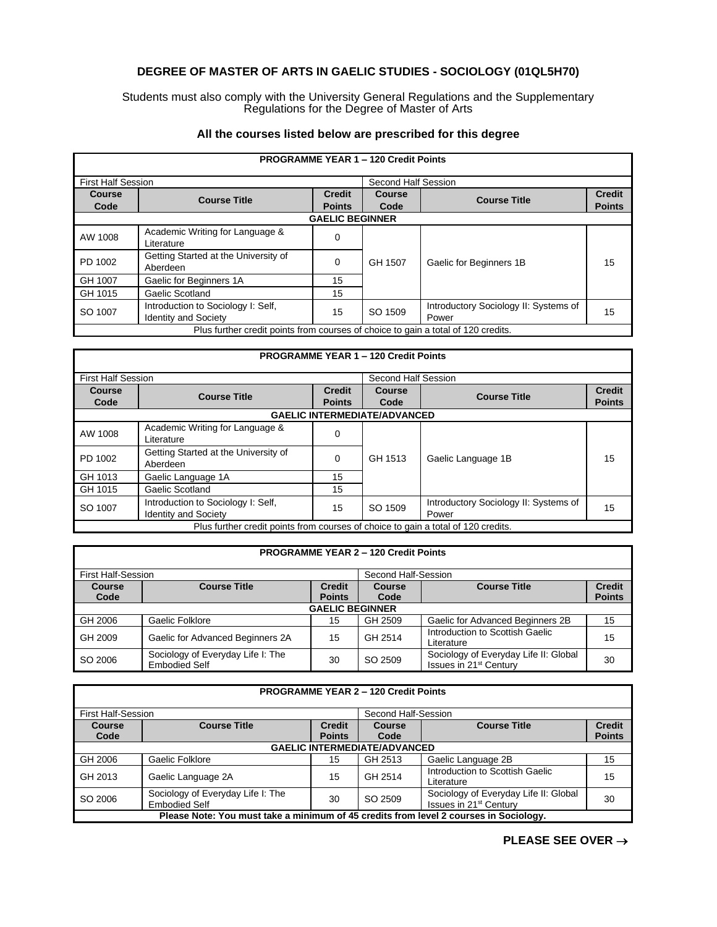# **DEGREE OF MASTER OF ARTS IN GAELIC STUDIES - SOCIOLOGY (01QL5H70)**

## Students must also comply with the University General Regulations and the Supplementary Regulations for the Degree of Master of Arts

| <b>PROGRAMME YEAR 1 - 120 Credit Points</b>                                       |                                                                   |                                |                     |                                                |                                |
|-----------------------------------------------------------------------------------|-------------------------------------------------------------------|--------------------------------|---------------------|------------------------------------------------|--------------------------------|
| <b>First Half Session</b>                                                         |                                                                   |                                | Second Half Session |                                                |                                |
| Course<br>Code                                                                    | <b>Course Title</b>                                               | <b>Credit</b><br><b>Points</b> | Course<br>Code      | <b>Course Title</b>                            | <b>Credit</b><br><b>Points</b> |
| <b>GAELIC BEGINNER</b>                                                            |                                                                   |                                |                     |                                                |                                |
| AW 1008                                                                           | Academic Writing for Language &<br>Literature                     | 0                              | GH 1507             | Gaelic for Beginners 1B                        | 15                             |
| PD 1002                                                                           | Getting Started at the University of<br>Aberdeen                  | $\Omega$                       |                     |                                                |                                |
| GH 1007                                                                           | Gaelic for Beginners 1A                                           | 15                             |                     |                                                |                                |
| GH 1015                                                                           | Gaelic Scotland                                                   | 15                             |                     |                                                |                                |
| SO 1007                                                                           | Introduction to Sociology I: Self,<br><b>Identity and Society</b> | 15                             | SO 1509             | Introductory Sociology II: Systems of<br>Power | 15                             |
| Plus further credit points from courses of choice to gain a total of 120 credits. |                                                                   |                                |                     |                                                |                                |

### **All the courses listed below are prescribed for this degree**

### **PROGRAMME YEAR 1 – 120 Credit Points** First Half Session Second Half Session **Course Code Course Title Credit Points Course Code Course Title Credit Points GAELIC INTERMEDIATE/ADVANCED** AW 1008 Academic Writing for Language & Container the Container of the Containing of the Containing of the Con<br>
a Literature Container Section And Alexander Section And Alexander Section And Alexander Section And Alexander PD 1002 Getting Started at the University of 0 GH 1513 Gaelic Language 1B 15 GH 1013 Gaelic Language 1A 15 GH 1015 Gaelic Scotland 15 SO 1007 Introduction to Sociology I: Self,<br>Identity and Society Introduction to Sociology I: Self,<br>Identity and Society 15 | 15 | SO 1509 | Power Power Plus further credit points from courses of choice to gain a total of 120 credits.

| <b>PROGRAMME YEAR 2 - 120 Credit Points</b> |                                                           |                                |                       |                                                                             |                                |  |
|---------------------------------------------|-----------------------------------------------------------|--------------------------------|-----------------------|-----------------------------------------------------------------------------|--------------------------------|--|
|                                             | <b>First Half-Session</b>                                 |                                |                       | Second Half-Session                                                         |                                |  |
| <b>Course</b><br>Code                       | <b>Course Title</b>                                       | <b>Credit</b><br><b>Points</b> | <b>Course</b><br>Code | <b>Course Title</b>                                                         | <b>Credit</b><br><b>Points</b> |  |
|                                             | <b>GAELIC BEGINNER</b>                                    |                                |                       |                                                                             |                                |  |
|                                             |                                                           |                                |                       |                                                                             |                                |  |
| GH 2006                                     | Gaelic Folklore                                           | 15                             | GH 2509               | Gaelic for Advanced Beginners 2B                                            | 15                             |  |
| GH 2009                                     | Gaelic for Advanced Beginners 2A                          | 15                             | GH 2514               | Introduction to Scottish Gaelic<br>Literature                               | 15                             |  |
| SO 2006                                     | Sociology of Everyday Life I: The<br><b>Embodied Self</b> | 30                             | SO 2509               | Sociology of Everyday Life II: Global<br>Issues in 21 <sup>st</sup> Century | 30                             |  |

### **PROGRAMME YEAR 2 – 120 Credit Points**

| <b>First Half-Session</b>                                                             |                                                           |               | Second Half-Session |                                                                             |               |  |
|---------------------------------------------------------------------------------------|-----------------------------------------------------------|---------------|---------------------|-----------------------------------------------------------------------------|---------------|--|
| <b>Course</b>                                                                         | <b>Course Title</b>                                       | <b>Credit</b> | <b>Course</b>       | <b>Course Title</b>                                                         | <b>Credit</b> |  |
| Code                                                                                  |                                                           | <b>Points</b> | Code                |                                                                             | <b>Points</b> |  |
| <b>GAELIC INTERMEDIATE/ADVANCED</b>                                                   |                                                           |               |                     |                                                                             |               |  |
| GH 2006                                                                               | Gaelic Folklore                                           | 15            | GH 2513             | Gaelic Language 2B                                                          | 15            |  |
| GH 2013                                                                               | Gaelic Language 2A                                        | 15            | GH 2514             | Introduction to Scottish Gaelic<br>Literature                               | 15            |  |
| SO 2006                                                                               | Sociology of Everyday Life I: The<br><b>Embodied Self</b> | 30            | SO 2509             | Sociology of Everyday Life II: Global<br>Issues in 21 <sup>st</sup> Century | 30            |  |
| Please Note: You must take a minimum of 45 credits from level 2 courses in Sociology. |                                                           |               |                     |                                                                             |               |  |

**PLEASE SEE OVER** →